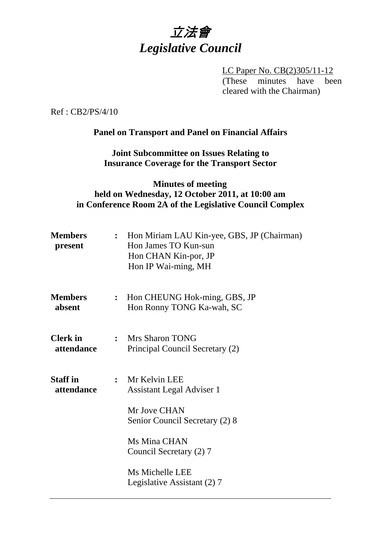# 立法會 *Legislative Council*

LC Paper No. CB(2)305/11-12 (These minutes have been cleared with the Chairman)

Ref : CB2/PS/4/10

#### **Panel on Transport and Panel on Financial Affairs**

**Joint Subcommittee on Issues Relating to Insurance Coverage for the Transport Sector** 

#### **Minutes of meeting held on Wednesday, 12 October 2011, at 10:00 am in Conference Room 2A of the Legislative Council Complex**

| <b>Members</b><br>present     |                | : Hon Miriam LAU Kin-yee, GBS, JP (Chairman)<br>Hon James TO Kun-sun<br>Hon CHAN Kin-por, JP<br>Hon IP Wai-ming, MH |
|-------------------------------|----------------|---------------------------------------------------------------------------------------------------------------------|
| <b>Members</b><br>absent      | $\ddot{\cdot}$ | Hon CHEUNG Hok-ming, GBS, JP<br>Hon Ronny TONG Ka-wah, SC                                                           |
| <b>Clerk</b> in<br>attendance |                | : Mrs Sharon TONG<br>Principal Council Secretary (2)                                                                |
| <b>Staff</b> in<br>attendance |                | : Mr Kelvin LEE<br><b>Assistant Legal Adviser 1</b>                                                                 |
|                               |                | Mr Jove CHAN<br>Senior Council Secretary (2) 8                                                                      |
|                               |                | Ms Mina CHAN<br>Council Secretary (2) 7                                                                             |
|                               |                | Ms Michelle LEE<br>Legislative Assistant (2) 7                                                                      |
|                               |                |                                                                                                                     |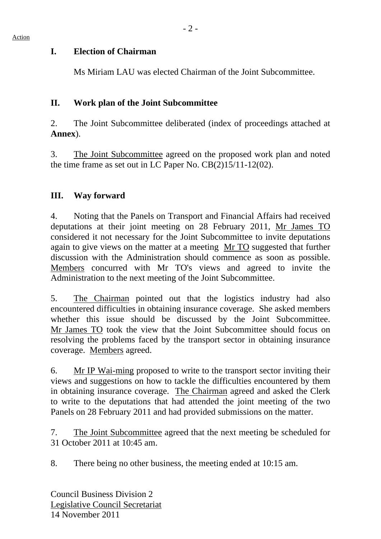#### **I. Election of Chairman**

1. Ms Miriam LAU was elected Chairman of the Joint Subcommittee.

## **II. Work plan of the Joint Subcommittee**

2. The Joint Subcommittee deliberated (index of proceedings attached at **Annex**).

3. The Joint Subcommittee agreed on the proposed work plan and noted the time frame as set out in LC Paper No. CB(2)15/11-12(02).

## **III. Way forward**

4. Noting that the Panels on Transport and Financial Affairs had received deputations at their joint meeting on 28 February 2011, Mr James TO considered it not necessary for the Joint Subcommittee to invite deputations again to give views on the matter at a meeting Mr TO suggested that further discussion with the Administration should commence as soon as possible. Members concurred with Mr TO's views and agreed to invite the Administration to the next meeting of the Joint Subcommittee.

5. The Chairman pointed out that the logistics industry had also encountered difficulties in obtaining insurance coverage. She asked members whether this issue should be discussed by the Joint Subcommittee. Mr James TO took the view that the Joint Subcommittee should focus on resolving the problems faced by the transport sector in obtaining insurance coverage. Members agreed.

6. Mr IP Wai-ming proposed to write to the transport sector inviting their views and suggestions on how to tackle the difficulties encountered by them in obtaining insurance coverage. The Chairman agreed and asked the Clerk to write to the deputations that had attended the joint meeting of the two Panels on 28 February 2011 and had provided submissions on the matter.

7. The Joint Subcommittee agreed that the next meeting be scheduled for 31 October 2011 at 10:45 am.

8. There being no other business, the meeting ended at 10:15 am.

Council Business Division 2 Legislative Council Secretariat 14 November 2011